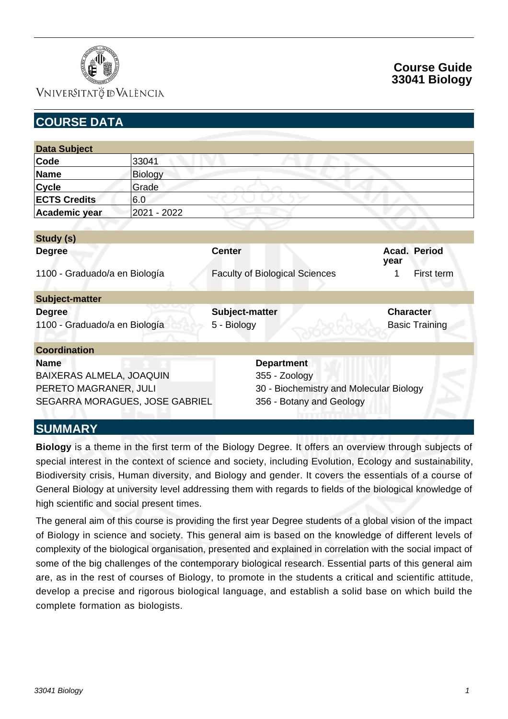

# **Course Guide 33041 Biology**

| <b>COURSE DATA</b>                                         |                |                                         |                                           |
|------------------------------------------------------------|----------------|-----------------------------------------|-------------------------------------------|
|                                                            |                |                                         |                                           |
| <b>Data Subject</b>                                        |                |                                         |                                           |
| Code                                                       | 33041          |                                         |                                           |
| <b>Name</b>                                                | <b>Biology</b> |                                         |                                           |
| <b>Cycle</b>                                               | Grade          |                                         |                                           |
| <b>ECTS Credits</b>                                        | 6.0            |                                         |                                           |
| Academic year                                              | 2021 - 2022    |                                         |                                           |
|                                                            |                |                                         |                                           |
| Study (s)                                                  |                |                                         |                                           |
| <b>Degree</b>                                              |                | <b>Center</b>                           | Acad. Period<br>year                      |
| 1100 - Graduado/a en Biología                              |                | <b>Faculty of Biological Sciences</b>   | First term<br>1                           |
| <b>Subject-matter</b>                                      |                |                                         |                                           |
| <b>Degree</b><br>1100 - Graduado/a en Biología             |                | Subject-matter<br>5 - Biology           | <b>Character</b><br><b>Basic Training</b> |
| <b>Coordination</b>                                        |                |                                         |                                           |
| <b>Name</b>                                                |                | <b>Department</b>                       |                                           |
| BAIXERAS ALMELA, JOAQUIN                                   |                | 355 - Zoology                           |                                           |
| PERETO MAGRANER, JULI                                      |                | 30 - Biochemistry and Molecular Biology |                                           |
| SEGARRA MORAGUES, JOSE GABRIEL<br>356 - Botany and Geology |                |                                         |                                           |
| <b>SUMMARY</b>                                             |                |                                         |                                           |

**Biology** is a theme in the first term of the Biology Degree. It offers an overview through subjects of special interest in the context of science and society, including Evolution, Ecology and sustainability, Biodiversity crisis, Human diversity, and Biology and gender. It covers the essentials of a course of General Biology at university level addressing them with regards to fields of the biological knowledge of

The general aim of this course is providing the first year Degree students of a global vision of the impact of Biology in science and society. This general aim is based on the knowledge of different levels of complexity of the biological organisation, presented and explained in correlation with the social impact of some of the big challenges of the contemporary biological research. Essential parts of this general aim are, as in the rest of courses of Biology, to promote in the students a critical and scientific attitude, develop a precise and rigorous biological language, and establish a solid base on which build the complete formation as biologists.

high scientific and social present times.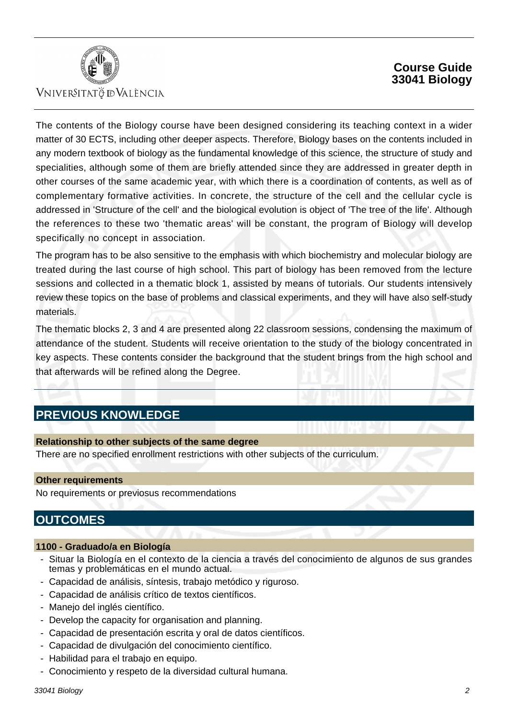

## **Course Guide 33041 Biology**

The contents of the Biology course have been designed considering its teaching context in a wider matter of 30 ECTS, including other deeper aspects. Therefore, Biology bases on the contents included in any modern textbook of biology as the fundamental knowledge of this science, the structure of study and specialities, although some of them are briefly attended since they are addressed in greater depth in other courses of the same academic year, with which there is a coordination of contents, as well as of complementary formative activities. In concrete, the structure of the cell and the cellular cycle is addressed in 'Structure of the cell' and the biological evolution is object of 'The tree of the life'. Although the references to these two 'thematic areas' will be constant, the program of Biology will develop specifically no concept in association.

The program has to be also sensitive to the emphasis with which biochemistry and molecular biology are treated during the last course of high school. This part of biology has been removed from the lecture sessions and collected in a thematic block 1, assisted by means of tutorials. Our students intensively review these topics on the base of problems and classical experiments, and they will have also self-study materials.

The thematic blocks 2, 3 and 4 are presented along 22 classroom sessions, condensing the maximum of attendance of the student. Students will receive orientation to the study of the biology concentrated in key aspects. These contents consider the background that the student brings from the high school and that afterwards will be refined along the Degree.

# **PREVIOUS KNOWLEDGE**

#### **Relationship to other subjects of the same degree**

There are no specified enrollment restrictions with other subjects of the curriculum.

#### **Other requirements**

No requirements or previosus recommendations

# **OUTCOMES**

#### **1100 - Graduado/a en Biología**

- Situar la Biología en el contexto de la ciencia a través del conocimiento de algunos de sus grandes temas y problemáticas en el mundo actual.
- Capacidad de análisis, síntesis, trabajo metódico y riguroso.
- Capacidad de análisis crítico de textos científicos.
- Manejo del inglés científico.
- Develop the capacity for organisation and planning.
- Capacidad de presentación escrita y oral de datos científicos.
- Capacidad de divulgación del conocimiento científico.
- Habilidad para el trabajo en equipo.
- Conocimiento y respeto de la diversidad cultural humana.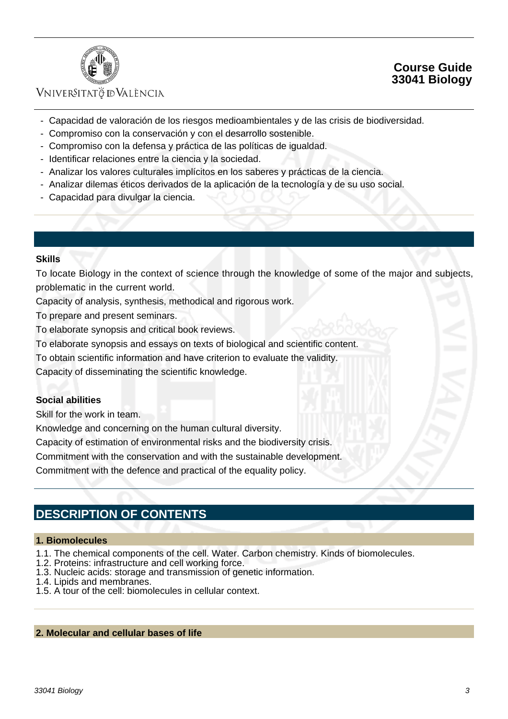

## **Course Guide 33041 Biology**

- Capacidad de valoración de los riesgos medioambientales y de las crisis de biodiversidad.
- Compromiso con la conservación y con el desarrollo sostenible.
- Compromiso con la defensa y práctica de las políticas de igualdad.
- Identificar relaciones entre la ciencia y la sociedad.
- Analizar los valores culturales implícitos en los saberes y prácticas de la ciencia.
- Analizar dilemas éticos derivados de la aplicación de la tecnología y de su uso social.
- Capacidad para divulgar la ciencia.

### **Skills**

To locate Biology in the context of science through the knowledge of some of the major and subjects, problematic in the current world.

Capacity of analysis, synthesis, methodical and rigorous work.

To prepare and present seminars.

To elaborate synopsis and critical book reviews.

To elaborate synopsis and essays on texts of biological and scientific content.

To obtain scientific information and have criterion to evaluate the validity.

Capacity of disseminating the scientific knowledge.

### **Social abilities**

Skill for the work in team.

Knowledge and concerning on the human cultural diversity.

Capacity of estimation of environmental risks and the biodiversity crisis.

Commitment with the conservation and with the sustainable development.

Commitment with the defence and practical of the equality policy.

# **DESCRIPTION OF CONTENTS**

#### **1. Biomolecules**

- 1.1. The chemical components of the cell. Water. Carbon chemistry. Kinds of biomolecules.
- 1.2. Proteins: infrastructure and cell working force.
- 1.3. Nucleic acids: storage and transmission of genetic information.
- 1.4. Lipids and membranes.
- 1.5. A tour of the cell: biomolecules in cellular context.

#### **2. Molecular and cellular bases of life**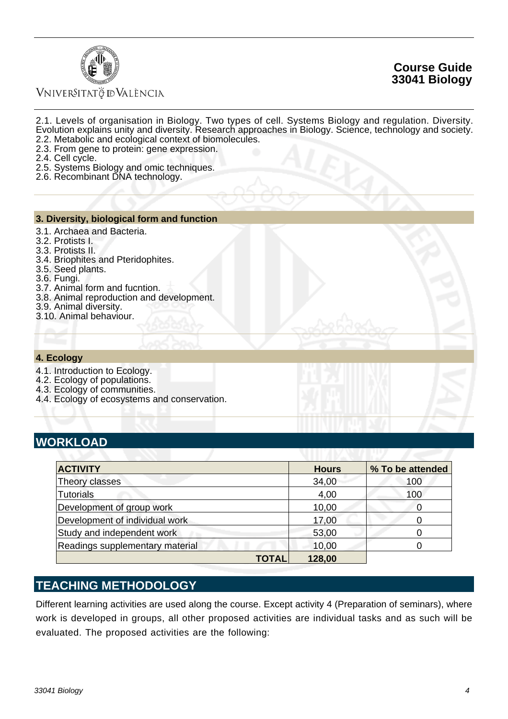



- 2.1. Levels of organisation in Biology. Two types of cell. Systems Biology and regulation. Diversity. Evolution explains unity and diversity. Research approaches in Biology. Science, technology and society. 2.2. Metabolic and ecological context of biomolecules.
- 2.3. From gene to protein: gene expression.
- 2.4. Cell cycle.
- 2.5. Systems Biology and omic techniques.
- 2.6. Recombinant DNA technology.

### **3. Diversity, biological form and function**

- 3.1. Archaea and Bacteria.
- 3.2. Protists I.
- 3.3. Protists II.
- 3.4. Briophites and Pteridophites.
- 3.5. Seed plants.
- 3.6. Fungi.
- 3.7. Animal form and fucntion.
- 3.8. Animal reproduction and development.
- 3.9. Animal diversity.
- 3.10. Animal behaviour.

#### **4. Ecology**

- 4.1. Introduction to Ecology.
- 4.2. Ecology of populations.
- 4.3. Ecology of communities.
- 4.4. Ecology of ecosystems and conservation.

## **WORKLOAD**

| <b>ACTIVITY</b>                 |              | <b>Hours</b> | % To be attended |
|---------------------------------|--------------|--------------|------------------|
| Theory classes                  |              | 34,00        | 100              |
| <b>Tutorials</b>                |              | 4,00         | 100              |
| Development of group work       |              | 10,00        |                  |
| Development of individual work  |              | 17,00        |                  |
| Study and independent work      |              | 53,00        |                  |
| Readings supplementary material |              | 10,00        |                  |
|                                 | <b>TOTAL</b> | 128,00       |                  |

# **TEACHING METHODOLOGY**

Different learning activities are used along the course. Except activity 4 (Preparation of seminars), where work is developed in groups, all other proposed activities are individual tasks and as such will be evaluated. The proposed activities are the following: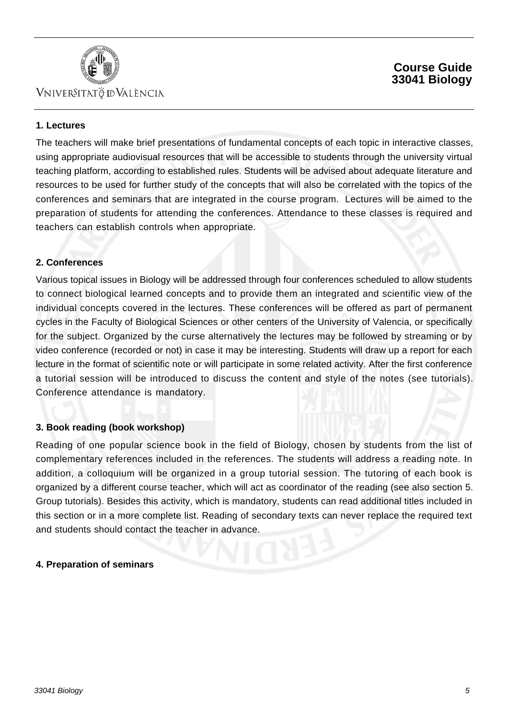

## **Course Guide 33041 Biology**

### **1. Lectures**

The teachers will make brief presentations of fundamental concepts of each topic in interactive classes, using appropriate audiovisual resources that will be accessible to students through the university virtual teaching platform, according to established rules. Students will be advised about adequate literature and resources to be used for further study of the concepts that will also be correlated with the topics of the conferences and seminars that are integrated in the course program. Lectures will be aimed to the preparation of students for attending the conferences. Attendance to these classes is required and teachers can establish controls when appropriate.

### **2. Conferences**

Various topical issues in Biology will be addressed through four conferences scheduled to allow students to connect biological learned concepts and to provide them an integrated and scientific view of the individual concepts covered in the lectures. These conferences will be offered as part of permanent cycles in the Faculty of Biological Sciences or other centers of the University of Valencia, or specifically for the subject. Organized by the curse alternatively the lectures may be followed by streaming or by video conference (recorded or not) in case it may be interesting. Students will draw up a report for each lecture in the format of scientific note or will participate in some related activity. After the first conference a tutorial session will be introduced to discuss the content and style of the notes (see tutorials). Conference attendance is mandatory.

### **3. Book reading (book workshop)**

Reading of one popular science book in the field of Biology, chosen by students from the list of complementary references included in the references. The students will address a reading note. In addition, a colloquium will be organized in a group tutorial session. The tutoring of each book is organized by a different course teacher, which will act as coordinator of the reading (see also section 5. Group tutorials). Besides this activity, which is mandatory, students can read additional titles included in this section or in a more complete list. Reading of secondary texts can never replace the required text and students should contact the teacher in advance.

### **4. Preparation of seminars**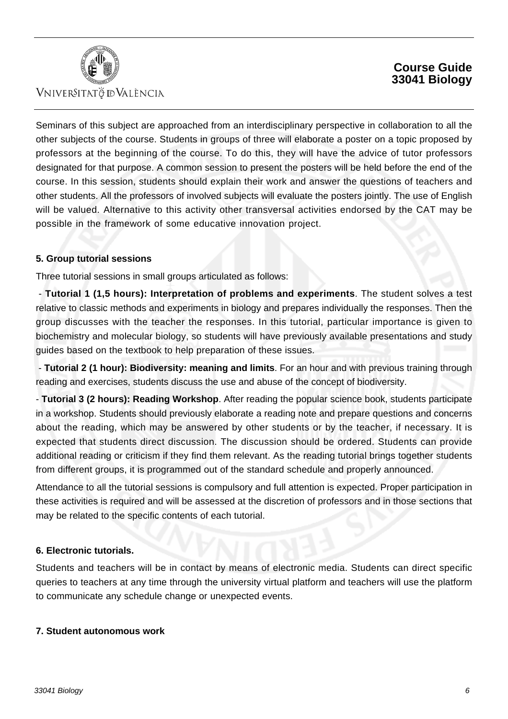

## **Course Guide 33041 Biology**

Seminars of this subject are approached from an interdisciplinary perspective in collaboration to all the other subjects of the course. Students in groups of three will elaborate a poster on a topic proposed by professors at the beginning of the course. To do this, they will have the advice of tutor professors designated for that purpose. A common session to present the posters will be held before the end of the course. In this session, students should explain their work and answer the questions of teachers and other students. All the professors of involved subjects will evaluate the posters jointly. The use of English will be valued. Alternative to this activity other transversal activities endorsed by the CAT may be possible in the framework of some educative innovation project.

### **5. Group tutorial sessions**

Three tutorial sessions in small groups articulated as follows:

 - **Tutorial 1 (1,5 hours): Interpretation of problems and experiments**. The student solves a test relative to classic methods and experiments in biology and prepares individually the responses. Then the group discusses with the teacher the responses. In this tutorial, particular importance is given to biochemistry and molecular biology, so students will have previously available presentations and study guides based on the textbook to help preparation of these issues.

 - **Tutorial 2 (1 hour): Biodiversity: meaning and limits**. For an hour and with previous training through reading and exercises, students discuss the use and abuse of the concept of biodiversity.

- **Tutorial 3 (2 hours): Reading Workshop**. After reading the popular science book, students participate in a workshop. Students should previously elaborate a reading note and prepare questions and concerns about the reading, which may be answered by other students or by the teacher, if necessary. It is expected that students direct discussion. The discussion should be ordered. Students can provide additional reading or criticism if they find them relevant. As the reading tutorial brings together students from different groups, it is programmed out of the standard schedule and properly announced.

Attendance to all the tutorial sessions is compulsory and full attention is expected. Proper participation in these activities is required and will be assessed at the discretion of professors and in those sections that may be related to the specific contents of each tutorial.

### **6. Electronic tutorials.**

Students and teachers will be in contact by means of electronic media. Students can direct specific queries to teachers at any time through the university virtual platform and teachers will use the platform to communicate any schedule change or unexpected events.

### **7. Student autonomous work**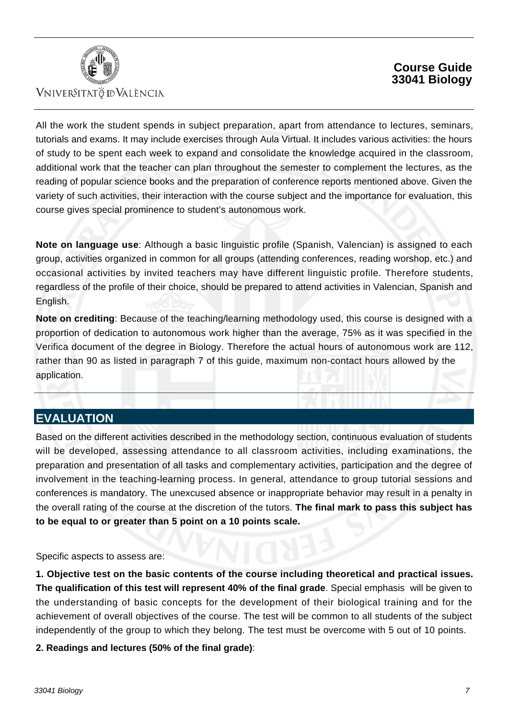

## **Course Guide 33041 Biology**

All the work the student spends in subject preparation, apart from attendance to lectures, seminars, tutorials and exams. It may include exercises through Aula Virtual. It includes various activities: the hours of study to be spent each week to expand and consolidate the knowledge acquired in the classroom, additional work that the teacher can plan throughout the semester to complement the lectures, as the reading of popular science books and the preparation of conference reports mentioned above. Given the variety of such activities, their interaction with the course subject and the importance for evaluation, this course gives special prominence to student's autonomous work.

**Note on language use**: Although a basic linguistic profile (Spanish, Valencian) is assigned to each group, activities organized in common for all groups (attending conferences, reading worshop, etc.) and occasional activities by invited teachers may have different linguistic profile. Therefore students, regardless of the profile of their choice, should be prepared to attend activities in Valencian, Spanish and English.

**Note on crediting**: Because of the teaching/learning methodology used, this course is designed with a proportion of dedication to autonomous work higher than the average, 75% as it was specified in the Verifica document of the degree in Biology. Therefore the actual hours of autonomous work are 112, rather than 90 as listed in paragraph 7 of this guide, maximum non-contact hours allowed by the application.

# **EVALUATION**

Based on the different activities described in the methodology section, continuous evaluation of students will be developed, assessing attendance to all classroom activities, including examinations, the preparation and presentation of all tasks and complementary activities, participation and the degree of involvement in the teaching-learning process. In general, attendance to group tutorial sessions and conferences is mandatory. The unexcused absence or inappropriate behavior may result in a penalty in the overall rating of the course at the discretion of the tutors. **The final mark to pass this subject has to be equal to or greater than 5 point on a 10 points scale.**

Specific aspects to assess are:

**1. Objective test on the basic contents of the course including theoretical and practical issues. The qualification of this test will represent 40% of the final grade**. Special emphasis will be given to the understanding of basic concepts for the development of their biological training and for the achievement of overall objectives of the course. The test will be common to all students of the subject independently of the group to which they belong. The test must be overcome with 5 out of 10 points.

**2. Readings and lectures (50% of the final grade)**: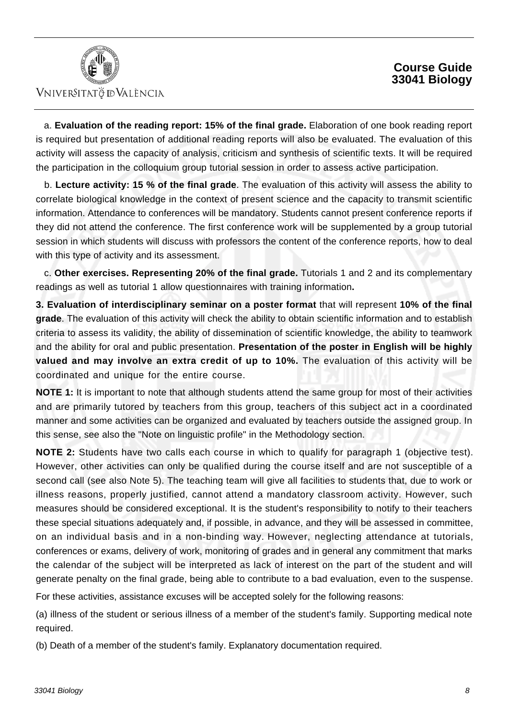## **Course Guide 33041 Biology**



## VNIVERSITATÖ IDVALÈNCIA

 a. **Evaluation of the reading report: 15% of the final grade.** Elaboration of one book reading report is required but presentation of additional reading reports will also be evaluated. The evaluation of this activity will assess the capacity of analysis, criticism and synthesis of scientific texts. It will be required the participation in the colloquium group tutorial session in order to assess active participation.

 b. **Lecture activity: 15 % of the final grade**. The evaluation of this activity will assess the ability to correlate biological knowledge in the context of present science and the capacity to transmit scientific information. Attendance to conferences will be mandatory. Students cannot present conference reports if they did not attend the conference. The first conference work will be supplemented by a group tutorial session in which students will discuss with professors the content of the conference reports, how to deal with this type of activity and its assessment.

 c. **Other exercises. Representing 20% of the final grade.** Tutorials 1 and 2 and its complementary readings as well as tutorial 1 allow questionnaires with training information**.**

**3. Evaluation of interdisciplinary seminar on a poster format** that will represent **10% of the final grade**. The evaluation of this activity will check the ability to obtain scientific information and to establish criteria to assess its validity, the ability of dissemination of scientific knowledge, the ability to teamwork and the ability for oral and public presentation. **Presentation of the poster in English will be highly valued and may involve an extra credit of up to 10%.** The evaluation of this activity will be coordinated and unique for the entire course.

**NOTE 1:** It is important to note that although students attend the same group for most of their activities and are primarily tutored by teachers from this group, teachers of this subject act in a coordinated manner and some activities can be organized and evaluated by teachers outside the assigned group. In this sense, see also the "Note on linguistic profile" in the Methodology section.

**NOTE 2:** Students have two calls each course in which to qualify for paragraph 1 (objective test). However, other activities can only be qualified during the course itself and are not susceptible of a second call (see also Note 5). The teaching team will give all facilities to students that, due to work or illness reasons, properly justified, cannot attend a mandatory classroom activity. However, such measures should be considered exceptional. It is the student's responsibility to notify to their teachers these special situations adequately and, if possible, in advance, and they will be assessed in committee, on an individual basis and in a non-binding way. However, neglecting attendance at tutorials, conferences or exams, delivery of work, monitoring of grades and in general any commitment that marks the calendar of the subject will be interpreted as lack of interest on the part of the student and will generate penalty on the final grade, being able to contribute to a bad evaluation, even to the suspense.

For these activities, assistance excuses will be accepted solely for the following reasons:

(a) illness of the student or serious illness of a member of the student's family. Supporting medical note required.

(b) Death of a member of the student's family. Explanatory documentation required.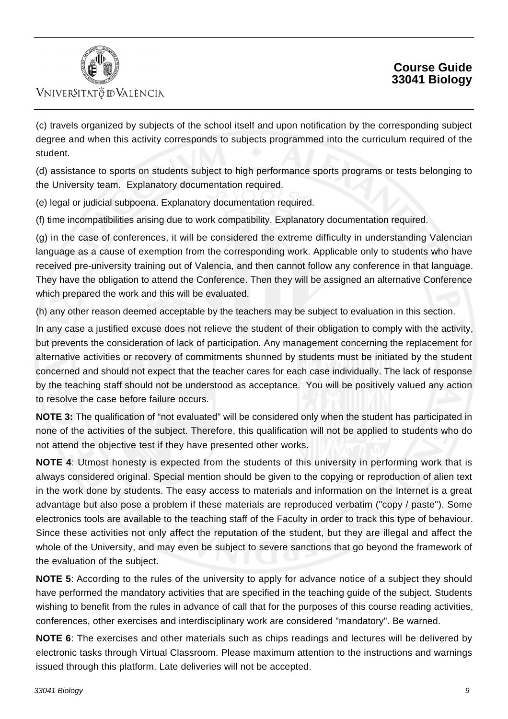

(c) travels organized by subjects of the school itself and upon notification by the corresponding subject degree and when this activity corresponds to subjects programmed into the curriculum required of the student.

(d) assistance to sports on students subject to high performance sports programs or tests belonging to the University team. Explanatory documentation required.

(e) legal or judicial subpoena. Explanatory documentation required.

(f) time incompatibilities arising due to work compatibility. Explanatory documentation required.

(g) in the case of conferences, it will be considered the extreme difficulty in understanding Valencian language as a cause of exemption from the corresponding work. Applicable only to students who have received pre-university training out of Valencia, and then cannot follow any conference in that language. They have the obligation to attend the Conference. Then they will be assigned an alternative Conference which prepared the work and this will be evaluated.

(h) any other reason deemed acceptable by the teachers may be subject to evaluation in this section.

In any case a justified excuse does not relieve the student of their obligation to comply with the activity, but prevents the consideration of lack of participation. Any management concerning the replacement for alternative activities or recovery of commitments shunned by students must be initiated by the student concerned and should not expect that the teacher cares for each case individually. The lack of response by the teaching staff should not be understood as acceptance. You will be positively valued any action to resolve the case before failure occurs.

**NOTE 3:** The qualification of "not evaluated" will be considered only when the student has participated in none of the activities of the subject. Therefore, this qualification will not be applied to students who do not attend the objective test if they have presented other works.

**NOTE 4**: Utmost honesty is expected from the students of this university in performing work that is always considered original. Special mention should be given to the copying or reproduction of alien text in the work done by students. The easy access to materials and information on the Internet is a great advantage but also pose a problem if these materials are reproduced verbatim ("copy / paste"). Some electronics tools are available to the teaching staff of the Faculty in order to track this type of behaviour. Since these activities not only affect the reputation of the student, but they are illegal and affect the whole of the University, and may even be subject to severe sanctions that go beyond the framework of the evaluation of the subject.

**NOTE 5**: According to the rules of the university to apply for advance notice of a subject they should have performed the mandatory activities that are specified in the teaching guide of the subject. Students wishing to benefit from the rules in advance of call that for the purposes of this course reading activities, conferences, other exercises and interdisciplinary work are considered "mandatory". Be warned.

**NOTE 6**: The exercises and other materials such as chips readings and lectures will be delivered by electronic tasks through Virtual Classroom. Please maximum attention to the instructions and warnings issued through this platform. Late deliveries will not be accepted.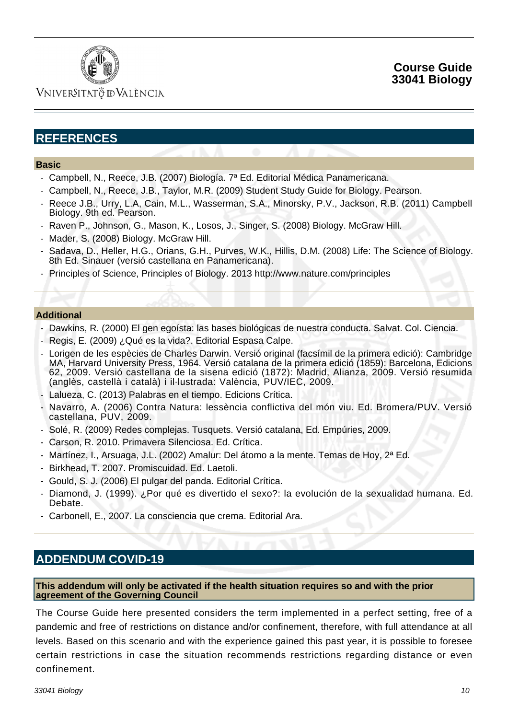

## Vniver§itatğ dValència

# **REFERENCES**

#### **Basic**

- Campbell, N., Reece, J.B. (2007) Biología. 7ª Ed. Editorial Médica Panamericana.
- Campbell, N., Reece, J.B., Taylor, M.R. (2009) Student Study Guide for Biology. Pearson.
- Reece J.B., Urry, L.A, Cain, M.L., Wasserman, S.A., Minorsky, P.V., Jackson, R.B. (2011) Campbell Biology. 9th ed. Pearson.
- Raven P., Johnson, G., Mason, K., Losos, J., Singer, S. (2008) Biology. McGraw Hill.
- Mader, S. (2008) Biology. McGraw Hill.
- Sadava, D., Heller, H.G., Orians, G.H., Purves, W.K., Hillis, D.M. (2008) Life: The Science of Biology. 8th Ed. Sinauer (versió castellana en Panamericana).
- Principles of Science, Principles of Biology. 2013 http://www.nature.com/principles

#### **Additional**

- Dawkins, R. (2000) El gen egoísta: las bases biológicas de nuestra conducta. Salvat. Col. Ciencia.

- Regis, E. (2009) ¿Qué es la vida?. Editorial Espasa Calpe.
- Lorigen de les espècies de Charles Darwin. Versió original (facsímil de la primera edició): Cambridge MA, Harvard University Press, 1964. Versió catalana de la primera edició (1859): Barcelona, Edicions 62, 2009. Versió castellana de la sisena edició (1872): Madrid, Alianza, 2009. Versió resumida (anglès, castellà i català) i il·lustrada: València, PUV/IEC, 2009.
- Lalueza, C. (2013) Palabras en el tiempo. Edicions Crítica.
- Navarro, A. (2006) Contra Natura: lessència conflictiva del món viu. Ed. Bromera/PUV. Versió castellana, PUV, 2009.
- Solé, R. (2009) Redes complejas. Tusquets. Versió catalana, Ed. Empúries, 2009.
- Carson, R. 2010. Primavera Silenciosa. Ed. Crítica.
- Martínez, I., Arsuaga, J.L. (2002) Amalur: Del átomo a la mente. Temas de Hoy, 2ª Ed.
- Birkhead, T. 2007. Promiscuidad. Ed. Laetoli.
- Gould, S. J. (2006) El pulgar del panda. Editorial Crítica.
- Diamond, J. (1999). ¿Por qué es divertido el sexo?: la evolución de la sexualidad humana. Ed. Debate.
- Carbonell, E., 2007. La consciencia que crema. Editorial Ara.

## **ADDENDUM COVID-19**

#### **This addendum will only be activated if the health situation requires so and with the prior agreement of the Governing Council**

The Course Guide here presented considers the term implemented in a perfect setting, free of a pandemic and free of restrictions on distance and/or confinement, therefore, with full attendance at all levels. Based on this scenario and with the experience gained this past year, it is possible to foresee certain restrictions in case the situation recommends restrictions regarding distance or even confinement.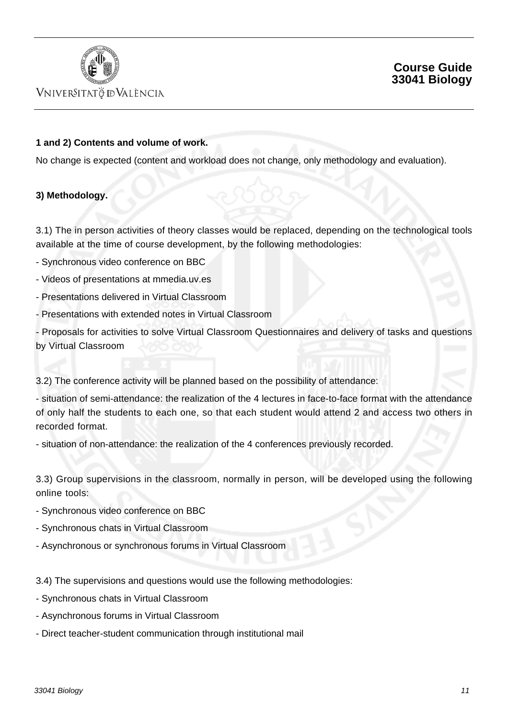

## **Course Guide 33041 Biology**

### **1 and 2) Contents and volume of work.**

No change is expected (content and workload does not change, only methodology and evaluation).

### **3) Methodology.**

3.1) The in person activities of theory classes would be replaced, depending on the technological tools available at the time of course development, by the following methodologies:

- Synchronous video conference on BBC
- Videos of presentations at mmedia.uv.es
- Presentations delivered in Virtual Classroom
- Presentations with extended notes in Virtual Classroom

- Proposals for activities to solve Virtual Classroom Questionnaires and delivery of tasks and questions by Virtual Classroom

3.2) The conference activity will be planned based on the possibility of attendance:

- situation of semi-attendance: the realization of the 4 lectures in face-to-face format with the attendance of only half the students to each one, so that each student would attend 2 and access two others in recorded format.

- situation of non-attendance: the realization of the 4 conferences previously recorded.

3.3) Group supervisions in the classroom, normally in person, will be developed using the following online tools:

- Synchronous video conference on BBC
- Synchronous chats in Virtual Classroom
- Asynchronous or synchronous forums in Virtual Classroom

3.4) The supervisions and questions would use the following methodologies:

- Synchronous chats in Virtual Classroom
- Asynchronous forums in Virtual Classroom
- Direct teacher-student communication through institutional mail